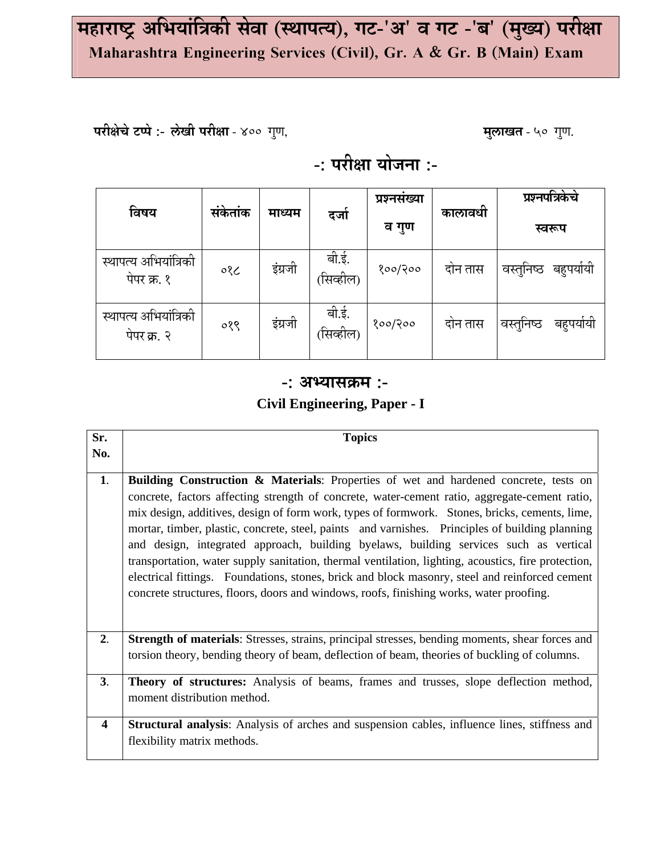# महाराष्ट्र अभियांत्रिकी सेवा (स्थापत्य), गट-'अ' व गट -'ब' (मुख्य) परीक्षा Maharashtra Engineering Services (Civil), Gr. A & Gr. B (Main) Exam

परीक्षेचे टप्पे :- लेखी परीक्षा - ४०० गुण,

मुलाखत - ५० गुण.

## -: परीक्षा योजना :-

| विषय                                 | संकेतांक | माध्यम  | दजो                | प्रश्नसख्या<br>व गुण | कालावधी | प्रश्नपत्रिकेचे<br>स्वरूप |
|--------------------------------------|----------|---------|--------------------|----------------------|---------|---------------------------|
| स्थापत्य अभियांत्रिकी<br>पेपर क्र. १ | ०१८      | इंग्रजी | बी.ई.<br>(सिव्हील) | १००/२००              | दोन तास | वस्तुनिष्ठ<br>बहुपयोयी    |
| स्थापत्य अभियांत्रिकी<br>पेपर क्र. २ | ०१९      | इंग्रजी | बी.ई.<br>(सिव्हील) | १००/२००              | दोन तास | वस्तूनिष्ठ<br>बहुपयोयो    |

#### $-$ : अभ्यासक्रम :-

### Civil Engineering, Paper - I

| Sr.                     | <b>Topics</b>                                                                                                                                                                                                                                                                                                                                                                                                                                                                                                                                                                                                                                                                                                                                                                                     |
|-------------------------|---------------------------------------------------------------------------------------------------------------------------------------------------------------------------------------------------------------------------------------------------------------------------------------------------------------------------------------------------------------------------------------------------------------------------------------------------------------------------------------------------------------------------------------------------------------------------------------------------------------------------------------------------------------------------------------------------------------------------------------------------------------------------------------------------|
| No.                     |                                                                                                                                                                                                                                                                                                                                                                                                                                                                                                                                                                                                                                                                                                                                                                                                   |
| 1.                      | <b>Building Construction &amp; Materials:</b> Properties of wet and hardened concrete, tests on<br>concrete, factors affecting strength of concrete, water-cement ratio, aggregate-cement ratio,<br>mix design, additives, design of form work, types of formwork. Stones, bricks, cements, lime,<br>mortar, timber, plastic, concrete, steel, paints and varnishes. Principles of building planning<br>and design, integrated approach, building byelaws, building services such as vertical<br>transportation, water supply sanitation, thermal ventilation, lighting, acoustics, fire protection,<br>electrical fittings. Foundations, stones, brick and block masonry, steel and reinforced cement<br>concrete structures, floors, doors and windows, roofs, finishing works, water proofing. |
| 2.                      | <b>Strength of materials:</b> Stresses, strains, principal stresses, bending moments, shear forces and<br>torsion theory, bending theory of beam, deflection of beam, theories of buckling of columns.                                                                                                                                                                                                                                                                                                                                                                                                                                                                                                                                                                                            |
| 3.                      | <b>Theory of structures:</b> Analysis of beams, frames and trusses, slope deflection method,<br>moment distribution method.                                                                                                                                                                                                                                                                                                                                                                                                                                                                                                                                                                                                                                                                       |
| $\overline{\mathbf{4}}$ | Structural analysis: Analysis of arches and suspension cables, influence lines, stiffness and<br>flexibility matrix methods.                                                                                                                                                                                                                                                                                                                                                                                                                                                                                                                                                                                                                                                                      |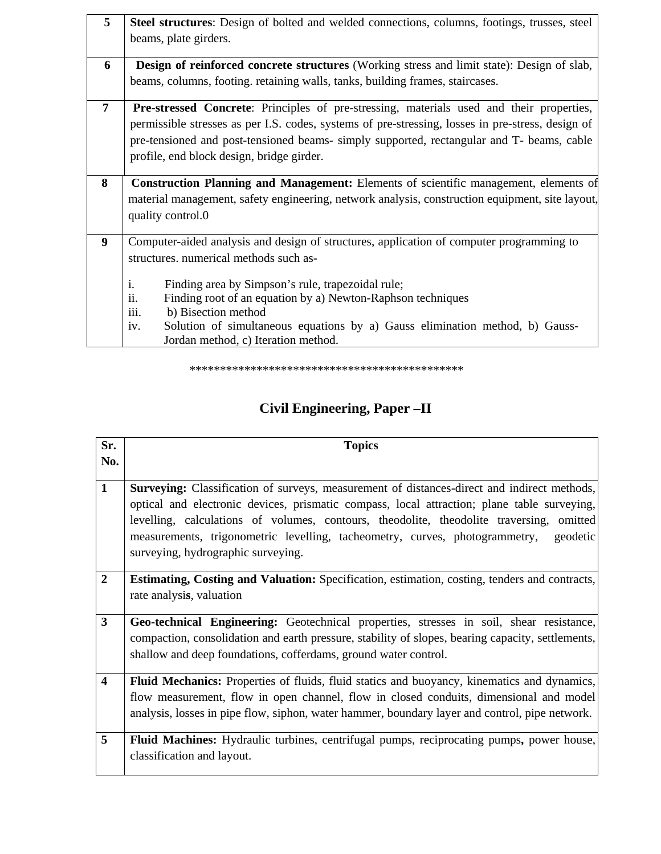| 5 | Steel structures: Design of bolted and welded connections, columns, footings, trusses, steel      |  |  |  |
|---|---------------------------------------------------------------------------------------------------|--|--|--|
|   | beams, plate girders.                                                                             |  |  |  |
| 6 | <b>Design of reinforced concrete structures</b> (Working stress and limit state): Design of slab, |  |  |  |
|   | beams, columns, footing. retaining walls, tanks, building frames, staircases.                     |  |  |  |
| 7 | <b>Pre-stressed Concrete:</b> Principles of pre-stressing, materials used and their properties,   |  |  |  |
|   | permissible stresses as per I.S. codes, systems of pre-stressing, losses in pre-stress, design of |  |  |  |
|   | pre-tensioned and post-tensioned beams- simply supported, rectangular and T- beams, cable         |  |  |  |
|   | profile, end block design, bridge girder.                                                         |  |  |  |
|   |                                                                                                   |  |  |  |
| 8 | <b>Construction Planning and Management:</b> Elements of scientific management, elements of       |  |  |  |
|   | material management, safety engineering, network analysis, construction equipment, site layout,   |  |  |  |
|   | quality control.0                                                                                 |  |  |  |
|   |                                                                                                   |  |  |  |
| 9 | Computer-aided analysis and design of structures, application of computer programming to          |  |  |  |
|   | structures. numerical methods such as-                                                            |  |  |  |
|   | i.<br>Finding area by Simpson's rule, trapezoidal rule;                                           |  |  |  |
|   | ii.<br>Finding root of an equation by a) Newton-Raphson techniques                                |  |  |  |
|   | iii.<br>b) Bisection method                                                                       |  |  |  |
|   | Solution of simultaneous equations by a) Gauss elimination method, b) Gauss-<br>iv.               |  |  |  |
|   | Jordan method, c) Iteration method.                                                               |  |  |  |
|   |                                                                                                   |  |  |  |

\*\*\*\*\*\*\*\*\*\*\*\*\*\*\*\*\*\*\*\*\*\*\*\*\*\*\*\*\*\*\*\*\*\*\*\*\*\*\*\*\*\*\*\*\*

### **Civil Engineering, Paper –II**

| Sr.                     | <b>Topics</b>                                                                                        |
|-------------------------|------------------------------------------------------------------------------------------------------|
| No.                     |                                                                                                      |
|                         |                                                                                                      |
| $\mathbf{1}$            | <b>Surveying:</b> Classification of surveys, measurement of distances-direct and indirect methods,   |
|                         | optical and electronic devices, prismatic compass, local attraction; plane table surveying,          |
|                         | levelling, calculations of volumes, contours, theodolite, theodolite traversing, omitted             |
|                         | measurements, trigonometric levelling, tacheometry, curves, photogrammetry,<br>geodetic              |
|                         | surveying, hydrographic surveying.                                                                   |
|                         |                                                                                                      |
| $\mathbf{2}$            | <b>Estimating, Costing and Valuation:</b> Specification, estimation, costing, tenders and contracts, |
|                         | rate analysis, valuation                                                                             |
| $\overline{\mathbf{3}}$ | Geo-technical Engineering: Geotechnical properties, stresses in soil, shear resistance,              |
|                         |                                                                                                      |
|                         | compaction, consolidation and earth pressure, stability of slopes, bearing capacity, settlements,    |
|                         | shallow and deep foundations, cofferdams, ground water control.                                      |
| $\overline{\mathbf{4}}$ | <b>Fluid Mechanics:</b> Properties of fluids, fluid statics and buoyancy, kinematics and dynamics,   |
|                         | flow measurement, flow in open channel, flow in closed conduits, dimensional and model               |
|                         | analysis, losses in pipe flow, siphon, water hammer, boundary layer and control, pipe network.       |
|                         |                                                                                                      |
| 5                       | Fluid Machines: Hydraulic turbines, centrifugal pumps, reciprocating pumps, power house,             |
|                         | classification and layout.                                                                           |
|                         |                                                                                                      |